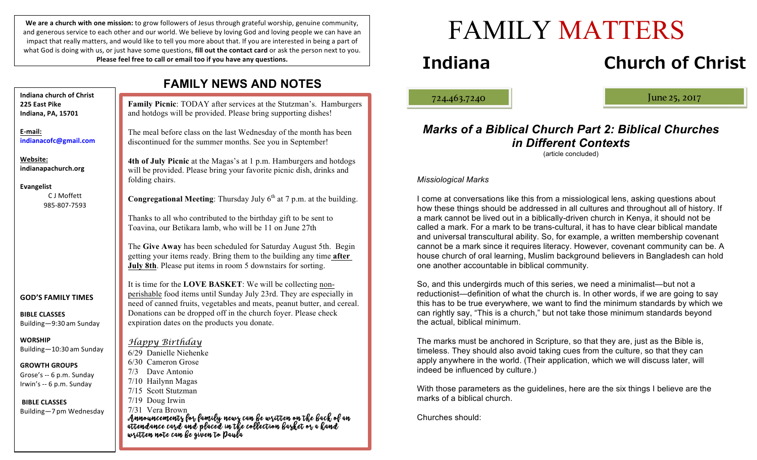We are a church with one mission: to grow followers of Jesus through grateful worship, genuine community, and generous service to each other and our world. We believe by loving God and loving people we can have an impact that really matters, and would like to tell you more about that. If you are interested in being a part of what God is doing with us, or just have some questions, **fill out the contact card** or ask the person next to you. Please feel free to call or email too if you have any questions.

|                                                                                                                            | <b>FAMILY NEWS AND NOTES</b>                                                                                                                                                                                                                                                    |
|----------------------------------------------------------------------------------------------------------------------------|---------------------------------------------------------------------------------------------------------------------------------------------------------------------------------------------------------------------------------------------------------------------------------|
| Indiana church of Christ<br>225 East Pike<br>Indiana, PA, 15701                                                            | Family Picnic: TODAY after services at the Stutzman's. Hamburgers<br>and hotdogs will be provided. Please bring supporting dishes!                                                                                                                                              |
| E-mail:<br>indianacofc@gmail.com                                                                                           | The meal before class on the last Wednesday of the month has been<br>discontinued for the summer months. See you in September!                                                                                                                                                  |
| Website:<br>indianapachurch.org<br><b>Evangelist</b>                                                                       | 4th of July Picnic at the Magas's at 1 p.m. Hamburgers and hotdogs<br>will be provided. Please bring your favorite picnic dish, drinks and<br>folding chairs.                                                                                                                   |
| C J Moffett<br>985-807-7593                                                                                                | <b>Congregational Meeting:</b> Thursday July $6th$ at 7 p.m. at the building.                                                                                                                                                                                                   |
|                                                                                                                            | Thanks to all who contributed to the birthday gift to be sent to<br>Toavina, our Betikara lamb, who will be 11 on June 27th                                                                                                                                                     |
|                                                                                                                            | The Give Away has been scheduled for Saturday August 5th. Begin<br>getting your items ready. Bring them to the building any time after<br>July 8th. Please put items in room 5 downstairs for sorting.                                                                          |
| <b>GOD'S FAMILY TIMES</b><br><b>BIBLE CLASSES</b>                                                                          | It is time for the LOVE BASKET: We will be collecting non-<br>perishable food items until Sunday July 23rd. They are especially in<br>need of canned fruits, vegetables and meats, peanut butter, and cereal.<br>Donations can be dropped off in the church foyer. Please check |
| Building-9:30 am Sunday                                                                                                    | expiration dates on the products you donate.                                                                                                                                                                                                                                    |
| <b>WORSHIP</b><br>Building-10:30 am Sunday<br><b>GROWTH GROUPS</b><br>Grose's -- 6 p.m. Sunday<br>Irwin's -- 6 p.m. Sunday | Happy Birthday<br>6/29 Danielle Niehenke<br>6/30 Cameron Grose<br>7/3 Dave Antonio<br>7/10 Hailynn Magas<br>7/15 Scott Stutzman                                                                                                                                                 |
| <b>BIBLE CLASSES</b><br>Building-7 pm Wednesday                                                                            | 7/19 Doug Irwin<br>7/31 Vera Brown<br>Announcements for family news can be written on the back of an<br>attendance card and placed in the collection barket or a hand<br>written note can be given to Paula                                                                     |

# FAMILY MATTERS

## **Indiana Church of Christ**

ļ

724.463.7240 June 25, 2017

#### *Marks of a Biblical Church Part 2: Biblical Churches in Different Contexts* (article concluded)

*Missiological Marks*

I come at conversations like this from a missiological lens, asking questions about how these things should be addressed in all cultures and throughout all of history. If a mark cannot be lived out in a biblically-driven church in Kenya, it should not be called a mark. For a mark to be trans-cultural, it has to have clear biblical mandate and universal transcultural ability. So, for example, a written membership covenant cannot be a mark since it requires literacy. However, covenant community can be. A house church of oral learning, Muslim background believers in Bangladesh can hold one another accountable in biblical community.

So, and this undergirds much of this series, we need a minimalist—but not a reductionist—definition of what the church is. In other words, if we are going to say this has to be true everywhere, we want to find the minimum standards by which we can rightly say, "This is a church," but not take those minimum standards beyond the actual, biblical minimum.

The marks must be anchored in Scripture, so that they are, just as the Bible is, timeless. They should also avoid taking cues from the culture, so that they can apply anywhere in the world. (Their application, which we will discuss later, will indeed be influenced by culture.)

With those parameters as the guidelines, here are the six things I believe are the marks of a biblical church.

Churches should: